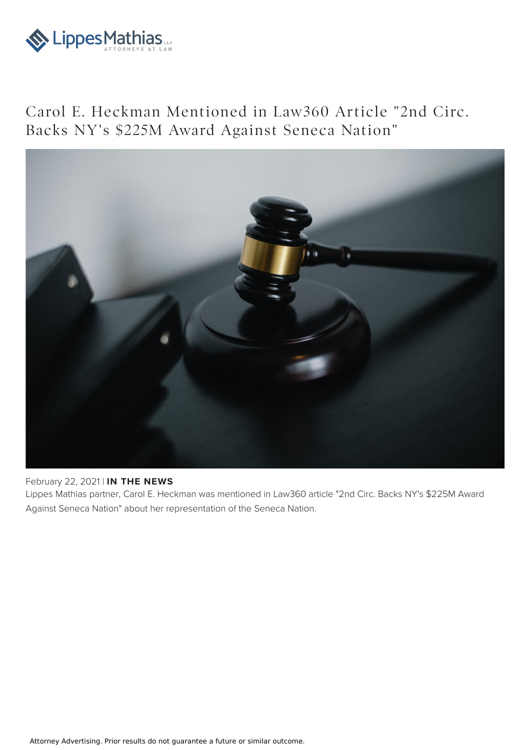

Carol E. Heckman Mentioned in Law360 Article "2nd Circ. Backs NY's \$225M Award Against Seneca Nation"



## February 22, 2021 | **IN THE NEWS**

Lippes Mathias partner, Carol E. Heckman was mentioned in Law360 article "2nd Circ. Backs NY's \$225M Award Against Seneca Nation" about her representation of the Seneca Nation.